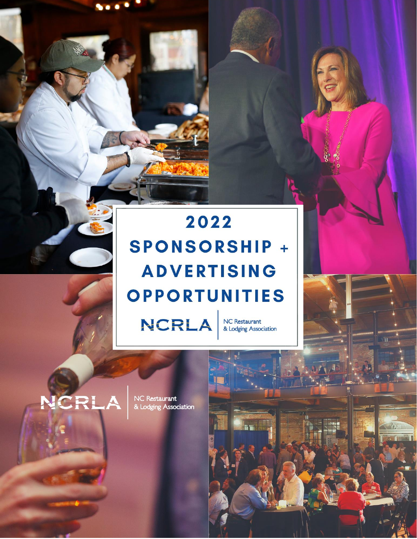# 2022 **SPONSORSHIP + ADVERTISING OPPORTUNITIES**

**NCRLA** 

**NC Restaurant** & Lodging Association

# NCRI

NC Restaurant<br>& Lodging Association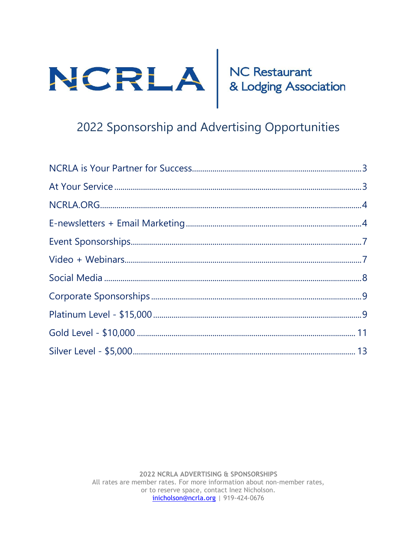

# 2022 Sponsorship and Advertising Opportunities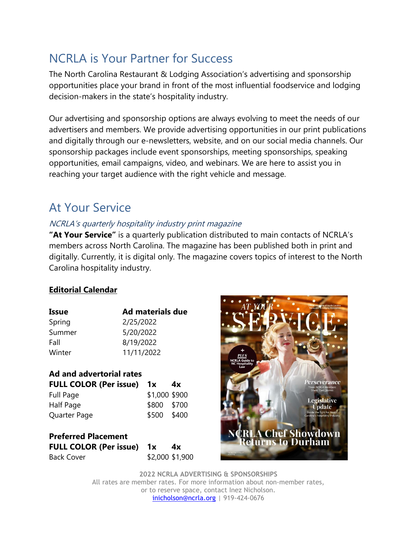# <span id="page-2-0"></span>NCRLA is Your Partner for Success

The North Carolina Restaurant & Lodging Association's advertising and sponsorship opportunities place your brand in front of the most influential foodservice and lodging decision-makers in the state's hospitality industry.

Our advertising and sponsorship options are always evolving to meet the needs of our advertisers and members. We provide advertising opportunities in our print publications and digitally through our e-newsletters, website, and on our social media channels. Our sponsorship packages include event sponsorships, meeting sponsorships, speaking opportunities, email campaigns, video, and webinars. We are here to assist you in reaching your target audience with the right vehicle and message.

## <span id="page-2-1"></span>At Your Service

#### NCRLA's quarterly hospitality industry print magazine

**"At Your Service"** is a quarterly publication distributed to main contacts of NCRLA's members across North Carolina. The magazine has been published both in print and digitally. Currently, it is digital only. The magazine covers topics of interest to the North Carolina hospitality industry.

#### **Editorial Calendar**

| Issue  | Ad materials due |
|--------|------------------|
| Spring | 2/25/2022        |
| Summer | 5/20/2022        |
| Fall   | 8/19/2022        |
| Winter | 11/11/2022       |

#### **Ad and advertorial rates FULL COLOR (Per issue) 1x 4x** Full Page \$1,000 \$900 Half Page  $$800$  \$700 Quarter Page \$500 \$400

#### **Preferred Placement FULL COLOR (Per issue) 1x 4x** Back Cover \$2,000 \$1,900

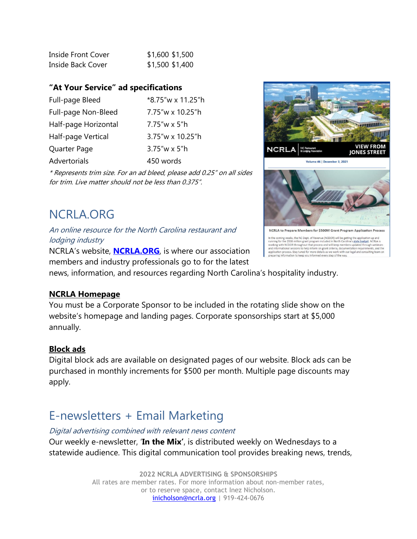| <b>Inside Front Cover</b> | \$1,600 \$1,500 |  |
|---------------------------|-----------------|--|
| Inside Back Cover         | \$1,500 \$1,400 |  |

#### **"At Your Service" ad specifications**

| Full-page Bleed      | *8.75"w x 11.25"h |
|----------------------|-------------------|
| Full-page Non-Bleed  | 7.75"w x 10.25"h  |
| Half-page Horizontal | 7.75″w x 5″h      |
| Half-page Vertical   | 3.75"w x 10.25"h  |
| Quarter Page         | $3.75''$ w x 5"h  |
| Advertorials         | 450 words         |
|                      |                   |

\* Represents trim size. For an ad bleed, please add 0.25" on all sides for trim. Live matter should not be less than 0.375".

# **VIEW FROM NCRLA JONES STREET** Volume 46 | December 3, 2021 NCRLA to Prepare Members for \$500M Grant Program Application Process ing weeks, the NC Dept. of Revenue (NCDOR) will be getting the applicati In the cor In the coming weeks, the RC Dept. of Revenue (NCDOR) will be getting the application up and<br>trunning for the \$500 million grant program included in North Carolina's state budget. NCRLA is<br>vorifare with NCDOR throughout tha

# <span id="page-3-0"></span>NCRLA.ORG

An online resource for the North Carolina restaurant and lodging industry

NCRLA's website, **[NCRLA.ORG](http://www.ncrla.org/)**, is where our association members and industry professionals go to for the latest

news, information, and resources regarding North Carolina's hospitality industry.

#### **NCRLA Homepage**

You must be a Corporate Sponsor to be included in the rotating slide show on the website's homepage and landing pages. Corporate sponsorships start at \$5,000 annually.

#### **Block ads**

Digital block ads are available on designated pages of our website. Block ads can be purchased in monthly increments for \$500 per month. Multiple page discounts may apply.

# <span id="page-3-1"></span>E-newsletters + Email Marketing

Digital advertising combined with relevant news content

Our weekly e-newsletter, '**In the Mix'**, is distributed weekly on Wednesdays to a statewide audience. This digital communication tool provides breaking news, trends,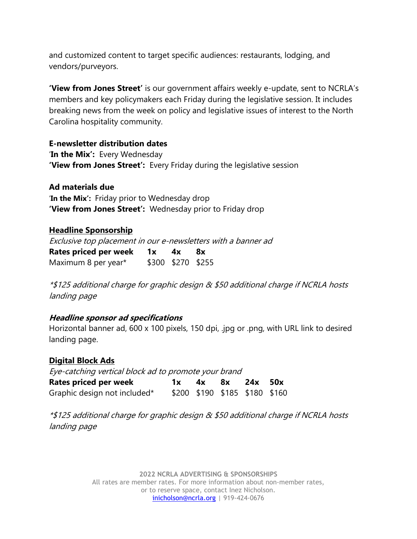and customized content to target specific audiences: restaurants, lodging, and vendors/purveyors.

**'View from Jones Street'** is our government affairs weekly e-update, sent to NCRLA's members and key policymakers each Friday during the legislative session. It includes breaking news from the week on policy and legislative issues of interest to the North Carolina hospitality community.

**E-newsletter distribution dates**

'**In the Mix':** Every Wednesday **'View from Jones Street':** Every Friday during the legislative session

**Ad materials due**

'**In the Mix':** Friday prior to Wednesday drop **'View from Jones Street':** Wednesday prior to Friday drop

#### **Headline Sponsorship**

Exclusive top placement in our e-newsletters with a banner ad **Rates priced per week 1x 4x 8x** Maximum 8 per year\* \$300 \$270 \$255

\*\$125 additional charge for graphic design & \$50 additional charge if NCRLA hosts landing page

#### **Headline sponsor ad specifications**

Horizontal banner ad, 600 x 100 pixels, 150 dpi, .jpg or .png, with URL link to desired landing page.

**Digital Block Ads** Eye-catching vertical block ad to promote your brand **Rates priced per week 1x 4x 8x 24x 50x** Graphic design not included\* \$200 \$190 \$185 \$180 \$160

\*\$125 additional charge for graphic design & \$50 additional charge if NCRLA hosts landing page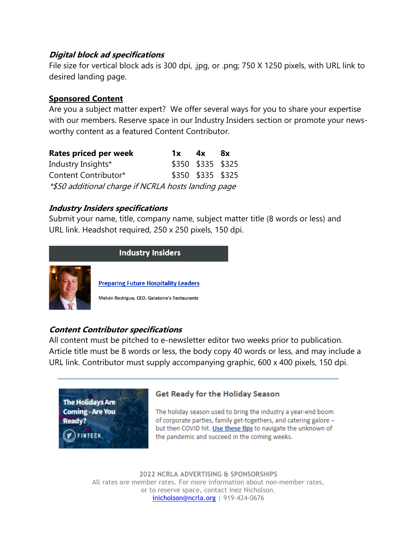#### **Digital block ad specifications**

File size for vertical block ads is 300 dpi, .jpg, or .png; 750 X 1250 pixels, with URL link to desired landing page.

#### **Sponsored Content**

Are you a subject matter expert? We offer several ways for you to share your expertise with our members. Reserve space in our Industry Insiders section or promote your newsworthy content as a featured Content Contributor.

| <b>Rates priced per week</b>                        | 1x | 4x                | 8x |
|-----------------------------------------------------|----|-------------------|----|
| Industry Insights*                                  |    | \$350 \$335 \$325 |    |
| Content Contributor*                                |    | \$350 \$335 \$325 |    |
| *\$50 additional charge if NCRLA hosts landing page |    |                   |    |

#### **Industry Insiders specifications**

Submit your name, title, company name, subject matter title (8 words or less) and URL link. Headshot required, 250 x 250 pixels, 150 dpi.



#### **Content Contributor specifications**

All content must be pitched to e-newsletter editor two weeks prior to publication. Article title must be 8 words or less, the body copy 40 words or less, and may include a URL link. Contributor must supply accompanying graphic, 600 x 400 pixels, 150 dpi.



#### **Get Ready for the Holiday Season**

The holiday season used to bring the industry a year-end boom of corporate parties, family get-togethers, and catering galore but then COVID hit. Use these tips to navigate the unknown of the pandemic and succeed in the coming weeks.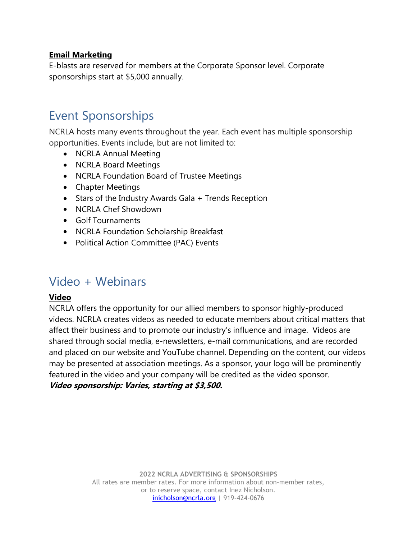#### **Email Marketing**

E-blasts are reserved for members at the Corporate Sponsor level. Corporate sponsorships start at \$5,000 annually.

# <span id="page-6-0"></span>Event Sponsorships

NCRLA hosts many events throughout the year. Each event has multiple sponsorship opportunities. Events include, but are not limited to:

- NCRLA Annual Meeting
- NCRLA Board Meetings
- NCRLA Foundation Board of Trustee Meetings
- Chapter Meetings
- Stars of the Industry Awards Gala + Trends Reception
- NCRLA Chef Showdown
- Golf Tournaments
- NCRLA Foundation Scholarship Breakfast
- Political Action Committee (PAC) Events

### <span id="page-6-1"></span>Video + Webinars

#### **Video**

NCRLA offers the opportunity for our allied members to sponsor highly-produced videos. NCRLA creates videos as needed to educate members about critical matters that affect their business and to promote our industry's influence and image. Videos are shared through social media, e-newsletters, e-mail communications, and are recorded and placed on our website and YouTube channel. Depending on the content, our videos may be presented at association meetings. As a sponsor, your logo will be prominently featured in the video and your company will be credited as the video sponsor. **Video sponsorship: Varies, starting at \$3,500.**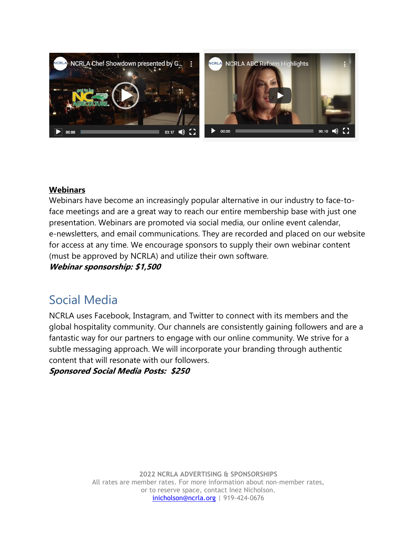

#### **Webinars**

Webinars have become an increasingly popular alternative in our industry to face-toface meetings and are a great way to reach our entire membership base with just one presentation. Webinars are promoted via social media, our online event calendar, e-newsletters, and email communications. They are recorded and placed on our website for access at any time. We encourage sponsors to supply their own webinar content (must be approved by NCRLA) and utilize their own software.

**Webinar sponsorship: \$1,500**

## <span id="page-7-0"></span>Social Media

NCRLA uses Facebook, Instagram, and Twitter to connect with its members and the global hospitality community. Our channels are consistently gaining followers and are a fantastic way for our partners to engage with our online community. We strive for a subtle messaging approach. We will incorporate your branding through authentic content that will resonate with our followers.

**Sponsored Social Media Posts: \$250**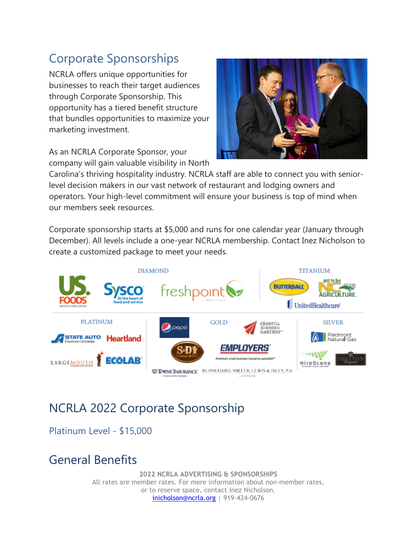# <span id="page-8-0"></span>Corporate Sponsorships

NCRLA offers unique opportunities for businesses to reach their target audiences through Corporate Sponsorship. This opportunity has a tiered benefit structure that bundles opportunities to maximize your marketing investment.

As an NCRLA Corporate Sponsor, your company will gain valuable visibility in North



Carolina's thriving hospitality industry. NCRLA staff are able to connect you with seniorlevel decision makers in our vast network of restaurant and lodging owners and operators. Your high-level commitment will ensure your business is top of mind when our members seek resources.

Corporate sponsorship starts at \$5,000 and runs for one calendar year (January through December). All levels include a one-year NCRLA membership. Contact Inez Nicholson to create a customized package to meet your needs.



# NCRLA 2022 Corporate Sponsorship

<span id="page-8-1"></span>Platinum Level - \$15,000

## General Benefits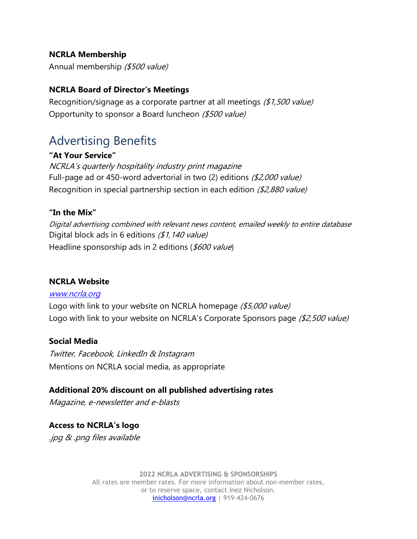#### **NCRLA Membership**

Annual membership (\$500 value)

#### **NCRLA Board of Director's Meetings**

Recognition/signage as a corporate partner at all meetings (\$1,500 value) Opportunity to sponsor a Board luncheon (\$500 value)

# Advertising Benefits

#### **"At Your Service"**

NCRLA's quarterly hospitality industry print magazine Full-page ad or 450-word advertorial in two (2) editions (\$2,000 value) Recognition in special partnership section in each edition (\$2,880 value)

#### **"In the Mix"**

Digital advertising combined with relevant news content, emailed weekly to entire database Digital block ads in 6 editions (\$1,140 value) Headline sponsorship ads in 2 editions (\$600 value)

#### **NCRLA Website**

#### [www.ncrla.org](http://www.ncrla.org/)

Logo with link to your website on NCRLA homepage (\$5,000 value) Logo with link to your website on NCRLA's Corporate Sponsors page (\$2,500 value)

#### **Social Media**

Twitter, Facebook, LinkedIn & Instagram Mentions on NCRLA social media, as appropriate

**Additional 20% discount on all published advertising rates** 

Magazine, e-newsletter and e-blasts

**Access to NCRLA's logo** .jpg & .png files available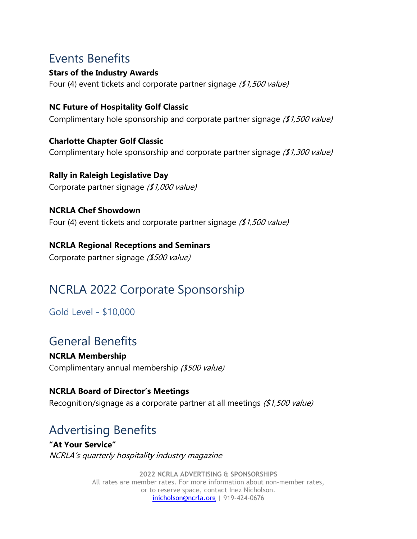# Events Benefits

**Stars of the Industry Awards** Four (4) event tickets and corporate partner signage (\$1,500 value)

**NC Future of Hospitality Golf Classic**  Complimentary hole sponsorship and corporate partner signage (\$1,500 value)

**Charlotte Chapter Golf Classic**  Complimentary hole sponsorship and corporate partner signage (\$1,300 value)

**Rally in Raleigh Legislative Day**  Corporate partner signage (\$1,000 value)

**NCRLA Chef Showdown**  Four (4) event tickets and corporate partner signage  $(1,500$  value)

**NCRLA Regional Receptions and Seminars** Corporate partner signage (\$500 value)

# NCRLA 2022 Corporate Sponsorship

<span id="page-10-0"></span>Gold Level - \$10,000

# General Benefits

**NCRLA Membership** Complimentary annual membership (\$500 value)

#### **NCRLA Board of Director's Meetings**

Recognition/signage as a corporate partner at all meetings (\$1,500 value)

# Advertising Benefits

**"At Your Service"** NCRLA's quarterly hospitality industry magazine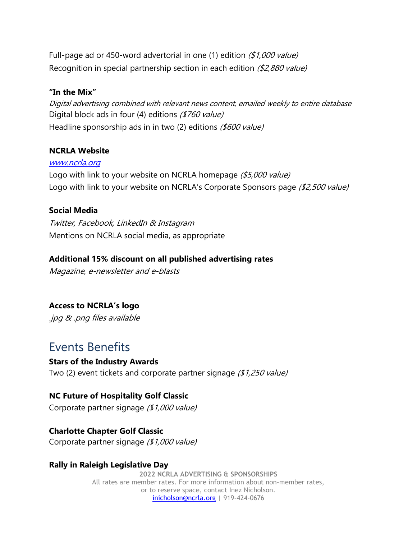Full-page ad or 450-word advertorial in one (1) edition  $(1,000$  value) Recognition in special partnership section in each edition (\$2,880 value)

#### **"In the Mix"**

Digital advertising combined with relevant news content, emailed weekly to entire database Digital block ads in four (4) editions (\$760 value) Headline sponsorship ads in in two (2) editions (\$600 value)

#### **NCRLA Website**

#### [www.ncrla.org](http://www.ncrla.org/)

Logo with link to your website on NCRLA homepage (\$5,000 value) Logo with link to your website on NCRLA's Corporate Sponsors page (\$2,500 value)

#### **Social Media**

Twitter, Facebook, LinkedIn & Instagram Mentions on NCRLA social media, as appropriate

#### **Additional 15% discount on all published advertising rates**

Magazine, e-newsletter and e-blasts

#### **Access to NCRLA's logo**

.jpg & .png files available

### Events Benefits

#### **Stars of the Industry Awards**

Two (2) event tickets and corporate partner signage (\$1,250 value)

#### **NC Future of Hospitality Golf Classic**

Corporate partner signage (\$1,000 value)

#### **Charlotte Chapter Golf Classic**

Corporate partner signage (\$1,000 value)

#### **Rally in Raleigh Legislative Day**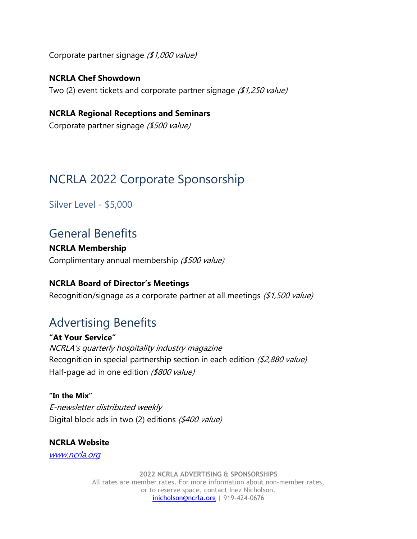Corporate partner signage (\$1,000 value)

**NCRLA Chef Showdown** Two (2) event tickets and corporate partner signage (\$1,250 value)

**NCRLA Regional Receptions and Seminars** Corporate partner signage (\$500 value)

# NCRLA 2022 Corporate Sponsorship

<span id="page-12-0"></span>Silver Level - \$5,000

### General Benefits

**NCRLA Membership** Complimentary annual membership (\$500 value)

#### **NCRLA Board of Director's Meetings**

Recognition/signage as a corporate partner at all meetings (\$1,500 value)

## Advertising Benefits

**"At Your Service"** NCRLA's quarterly hospitality industry magazine Recognition in special partnership section in each edition (\$2,880 value) Half-page ad in one edition (\$800 value)

**"In the Mix"** E-newsletter distributed weekly Digital block ads in two (2) editions (\$400 value)

**NCRLA Website** [www.ncrla.org](http://www.ncrla.org/)